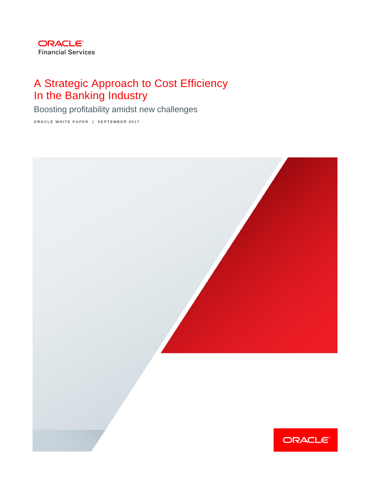

# A Strategic Approach to Cost Efficiency In the Banking Industry

Boosting profitability amidst new challenges

**ORACLE WHITE PAPER | SEPTEMBER 2017** 

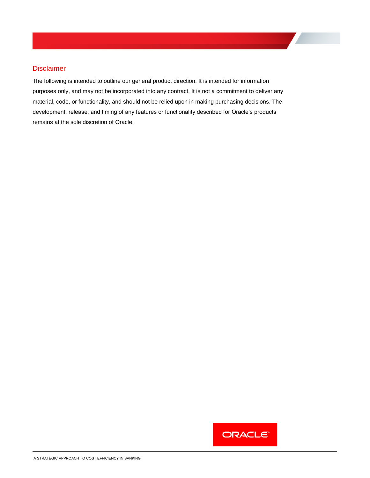### Disclaimer

The following is intended to outline our general product direction. It is intended for information purposes only, and may not be incorporated into any contract. It is not a commitment to deliver any material, code, or functionality, and should not be relied upon in making purchasing decisions. The development, release, and timing of any features or functionality described for Oracle's products remains at the sole discretion of Oracle.

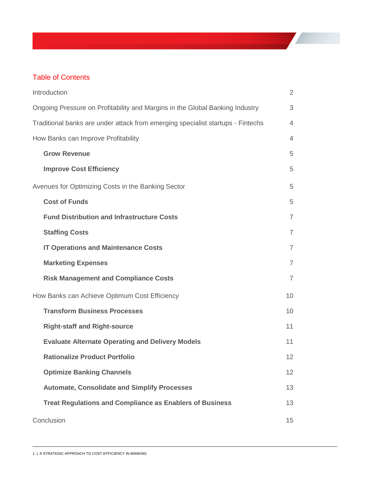## Table of Contents

| Introduction                                                                    | $\overline{2}$ |
|---------------------------------------------------------------------------------|----------------|
| Ongoing Pressure on Profitability and Margins in the Global Banking Industry    | 3              |
| Traditional banks are under attack from emerging specialist startups - Fintechs | $\overline{4}$ |
| How Banks can Improve Profitability                                             | $\overline{4}$ |
| <b>Grow Revenue</b>                                                             | 5              |
| <b>Improve Cost Efficiency</b>                                                  | 5              |
| Avenues for Optimizing Costs in the Banking Sector                              | 5              |
| <b>Cost of Funds</b>                                                            | 5              |
| <b>Fund Distribution and Infrastructure Costs</b>                               | $\overline{7}$ |
| <b>Staffing Costs</b>                                                           | $\overline{7}$ |
| <b>IT Operations and Maintenance Costs</b>                                      | $\overline{7}$ |
| <b>Marketing Expenses</b>                                                       | $\overline{7}$ |
| <b>Risk Management and Compliance Costs</b>                                     | $\overline{7}$ |
| How Banks can Achieve Optimum Cost Efficiency                                   | 10             |
| <b>Transform Business Processes</b>                                             | 10             |
| <b>Right-staff and Right-source</b>                                             | 11             |
| <b>Evaluate Alternate Operating and Delivery Models</b>                         | 11             |
| <b>Rationalize Product Portfolio</b>                                            | 12             |
| <b>Optimize Banking Channels</b>                                                | 12             |
| <b>Automate, Consolidate and Simplify Processes</b>                             | 13             |
| <b>Treat Regulations and Compliance as Enablers of Business</b>                 | 13             |
| Conclusion                                                                      | 15             |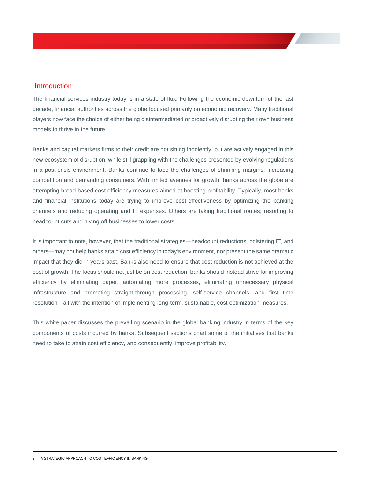### <span id="page-3-0"></span>Introduction

The financial services industry today is in a state of flux. Following the economic downturn of the last decade, financial authorities across the globe focused primarily on economic recovery. Many traditional players now face the choice of either being disintermediated or proactively disrupting their own business models to thrive in the future.

Banks and capital markets firms to their credit are not sitting indolently, but are actively engaged in this new ecosystem of disruption, while still grappling with the challenges presented by evolving regulations in a post-crisis environment. Banks continue to face the challenges of shrinking margins, increasing competition and demanding consumers. With limited avenues for growth, banks across the globe are attempting broad-based cost efficiency measures aimed at boosting profitability. Typically, most banks and financial institutions today are trying to improve cost-effectiveness by optimizing the banking channels and reducing operating and IT expenses. Others are taking traditional routes; resorting to headcount cuts and hiving off businesses to lower costs.

It is important to note, however, that the traditional strategies—headcount reductions, bolstering IT, and others—may not help banks attain cost efficiency in today's environment, nor present the same dramatic impact that they did in years past. Banks also need to ensure that cost reduction is not achieved at the cost of growth. The focus should not just be on cost reduction; banks should instead strive for improving efficiency by eliminating paper, automating more processes, eliminating unnecessary physical infrastructure and promoting straight-through processing, self-service channels, and first time resolution—all with the intention of implementing long-term, sustainable, cost optimization measures.

This white paper discusses the prevailing scenario in the global banking industry in terms of the key components of costs incurred by banks. Subsequent sections chart some of the initiatives that banks need to take to attain cost efficiency, and consequently, improve profitability.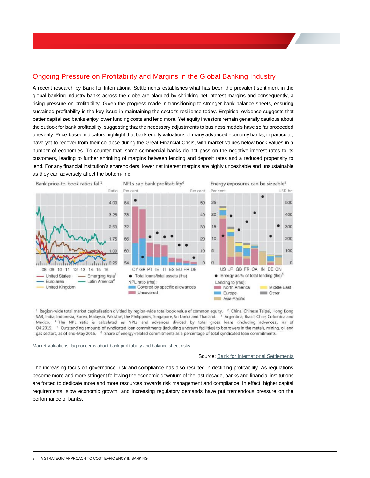### <span id="page-4-0"></span>Ongoing Pressure on Profitability and Margins in the Global Banking Industry

A recent research by Bank for International Settlements establishes what has been the prevalent sentiment in the global banking industry-banks across the globe are plagued by shrinking net interest margins and consequently, a rising pressure on profitability. Given the progress made in transitioning to stronger bank balance sheets, ensuring sustained profitability is the key issue in maintaining the sector's resilience today. Empirical evidence suggests that better capitalized banks enjoy lower funding costs and lend more. Yet equity investors remain generally cautious about the outlook for bank profitability, suggesting that the necessary adjustments to business models have so far proceeded unevenly. Price-based indicators highlight that bank equity valuations of many advanced economy banks, in particular, have yet to recover from their collapse during the Great Financial Crisis, with market values below book values in a number of economies. To counter that, some commercial banks do not pass on the negative interest rates to its customers, leading to further shrinking of margins between lending and deposit rates and a reduced propensity to lend. For any financial institution's shareholders, lower net interest margins are highly undesirable and unsustainable as they can adversely affect the bottom-line.



<sup>1</sup> Region-wide total market capitalisation divided by region-wide total book value of common equity. <sup>2</sup> China, Chinese Taipei, Hong Kong SAR, India, Indonesia, Korea, Malaysia, Pakistan, the Philippines, Singapore, Sri Lanka and Thailand. 3 Argentina, Brazil, Chile, Colombia and Mexico. <sup>4</sup> The NPL ratio is calculated as NPLs and advances divided by total gross loans (including advances), as of Q4 2015. <sup>5</sup> Outstanding amounts of syndicated loan commitments (including undrawn facilities) to borrowers in the metals, mining, oil and gas sectors, as of end-May 2016. <sup>6</sup> Share of energy-related commitments as a percentage of total syndicated loan commitments.

Market Valuations flag concerns about bank profitability and balance sheet risks

#### Source[: Bank for International Settlements](http://www.bis.org/publ/arpdf/ar2016e6.htm)

<span id="page-4-1"></span>The increasing focus on governance, risk and compliance has also resulted in declining profitability. As regulations become more and more stringent following the economic downturn of the last decade, banks and financial institutions are forced to dedicate more and more resources towards risk management and compliance. In effect, higher capital requirements, slow economic growth, and increasing regulatory demands have put tremendous pressure on the performance of banks.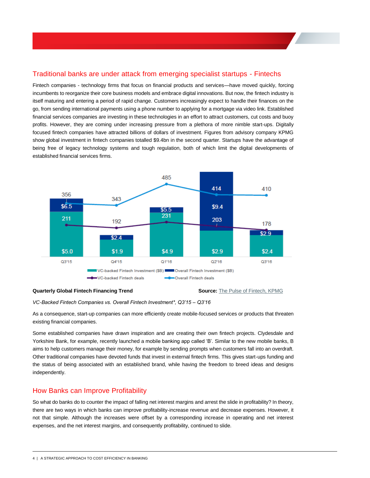### Traditional banks are under attack from emerging specialist startups - Fintechs

Fintech companies - technology firms that focus on financial products and services—have moved quickly, forcing incumbents to reorganize their core business models and embrace digital innovations. But now, the [fintech industry](http://www.mckinsey.com/global-themes/fintech) is itself maturing and entering a period of rapid change. Customers increasingly expect to handle their finances on the go, from sending international payments using a phone number to applying for a mortgage via video link. Established financial services companies are investing in these technologies in an effort to attract customers, cut costs and buoy profits. However, they are coming under increasing pressure from a plethora of more nimble start-ups. Digitally focused fintech companies have attracted billions of dollars of investment. Figures from advisory company KPMG show global investment in fintech companies totalled \$9.4bn in the second quarter. Startups have the advantage of being free of legacy technology systems and tough regulation, both of which limit the digital developments of established financial services firms.



#### **Quarterly Global Fintech Financing Trend Source:** [The Pulse of Fintech, KPMG](https://assets.kpmg.com/content/dam/kpmg/xx/pdf/2016/11/the-pulse-of-fintech-q3-report.pdf)

*VC-Backed Fintech Companies vs. Overall Fintech Investment\*, Q3'15 – Q3'16*

As a consequence, start-up companies can more efficiently create mobile-focused services or products that threaten existing financial companies.

Some established companies have drawn inspiration and are creating their own fintech projects. Clydesdale and Yorkshire Bank, for example, recently launched a [mobile banking app called 'B'.](https://www.ft.com/content/43b73c26-0e16-11e6-ad80-67655613c2d6) Similar to the new mobile banks, B aims to help customers manage their money, for example by sending prompts when customers fall into an overdraft. Other traditional companies have devoted funds that invest in external fintech firms. This gives start-ups funding and the status of being associated with an established brand, while having the freedom to breed ideas and designs independently.

### <span id="page-5-0"></span>How Banks can Improve Profitability

So what do banks do to counter the impact of falling net interest margins and arrest the slide in profitability? In theory, there are two ways in which banks can improve profitability-increase revenue and decrease expenses. However, it not that simple. Although the increases were offset by a corresponding increase in operating and net interest expenses, and the net interest margins, and consequently profitability, continued to slide.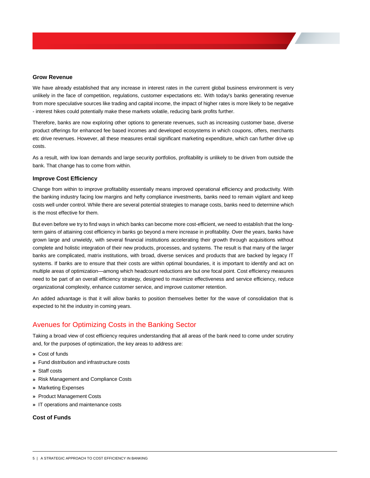#### <span id="page-6-0"></span>**Grow Revenue**

We have already established that any increase in interest rates in the current global business environment is very unlikely in the face of competition, regulations, customer expectations etc. With today's banks generating revenue from more speculative sources like trading and capital income, the impact of higher rates is more likely to be negative - interest hikes could potentially make these markets volatile, reducing bank profits further.

Therefore, banks are now exploring other options to generate revenues, such as increasing customer base, diverse product offerings for enhanced fee based incomes and developed ecosystems in which coupons, offers, merchants etc drive revenues. However, all these measures entail significant marketing expenditure, which can further drive up costs.

As a result, with low loan demands and large security portfolios, profitability is unlikely to be driven from outside the bank. That change has to come from within.

#### <span id="page-6-1"></span>**Improve Cost Efficiency**

Change from within to improve profitability essentially means improved operational efficiency and productivity. With the banking industry facing low margins and hefty compliance investments, banks need to remain vigilant and keep costs well under control. While there are several potential strategies to manage costs, banks need to determine which is the most effective for them.

But even before we try to find ways in which banks can become more cost-efficient, we need to establish that the longterm gains of attaining cost efficiency in banks go beyond a mere increase in profitability. Over the years, banks have grown large and unwieldy, with several financial institutions accelerating their growth through acquisitions without complete and holistic integration of their new products, processes, and systems. The result is that many of the larger banks are complicated, matrix institutions, with broad, diverse services and products that are backed by legacy IT systems. If banks are to ensure that their costs are within optimal boundaries, it is important to identify and act on multiple areas of optimization—among which headcount reductions are but one focal point. Cost efficiency measures need to be part of an overall efficiency strategy, designed to maximize effectiveness and service efficiency, reduce organizational complexity, enhance customer service, and improve customer retention.

An added advantage is that it will allow banks to position themselves better for the wave of consolidation that is expected to hit the industry in coming years.

### <span id="page-6-2"></span>Avenues for Optimizing Costs in the Banking Sector

Taking a broad view of cost efficiency requires understanding that all areas of the bank need to come under scrutiny and, for the purposes of optimization, the key areas to address are:

- **»** Cost of funds
- **»** Fund distribution and infrastructure costs
- **»** Staff costs
- **»** Risk Management and Compliance Costs
- **»** Marketing Expenses
- **»** Product Management Costs
- **»** IT operations and maintenance costs

### <span id="page-6-3"></span>**Cost of Funds**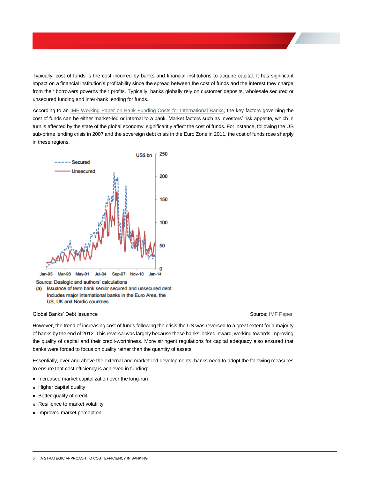Typically, cost of funds is the cost incurred by banks and financial institutions to acquire capital. It has significant impact on a financial institution's profitability since the spread between the cost of funds and the interest they charge from their borrowers governs their profits. Typically, banks globally rely on customer deposits, wholesale secured or unsecured funding and inter-bank lending for funds.

According to an [IMF Working Paper on Bank Funding Costs for International Banks,](http://www.imf.org/external/pubs/ft/wp/2014/wp1471.pdf) the key factors governing the cost of funds can be either market-led or internal to a bank. Market factors such as investors' risk appetite, which in turn is affected by the state of the global economy, significantly affect the cost of funds. For instance, following the US sub-prime lending crisis in 2007 and the sovereign debt crisis in the Euro Zone in 2011, the cost of funds rose sharply in these regions.



Source: Dealogic and authors' calculations

(a) Issuance of term bank senior secured and unsecured debt. Includes major international banks in the Euro Area, the US, UK and Nordic countries.

#### Global Banks' Debt Issuance Source: [IMF Paper](http://www.imf.org/external/pubs/ft/wp/2014/wp1471.pdf)

However, the trend of increasing cost of funds following the crisis the US was reversed to a great extent for a majority of banks by the end of 2012. This reversal was largely because these banks looked inward, working towards improving the quality of capital and their credit-worthiness. More stringent regulations for capital adequacy also ensured that banks were forced to focus on quality rather than the quantity of assets.

Essentially, over and above the external and market-led developments, banks need to adopt the following measures to ensure that cost efficiency is achieved in funding:

- **»** Increased market capitalization over the long-run
- **»** Higher capital quality
- **»** Better quality of credit
- **»** Resilience to market volatility
- <span id="page-7-0"></span>**»** Improved market perception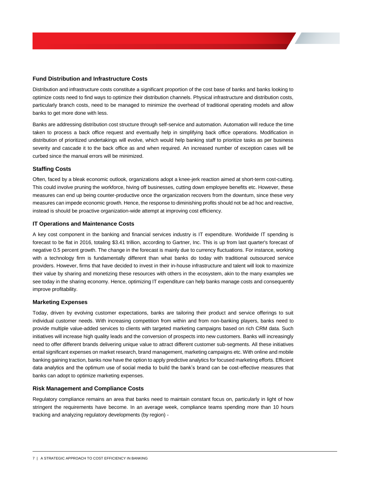#### **Fund Distribution and Infrastructure Costs**

Distribution and infrastructure costs constitute a significant proportion of the cost base of banks and banks looking to optimize costs need to find ways to optimize their distribution channels. Physical infrastructure and distribution costs, particularly branch costs, need to be managed to minimize the overhead of traditional operating models and allow banks to get more done with less.

Banks are addressing distribution cost structure through self-service and automation. Automation will reduce the time taken to process a back office request and eventually help in simplifying back office operations. Modification in distribution of prioritized undertakings will evolve, which would help banking staff to prioritize tasks as per business severity and cascade it to the back office as and when required. An increased number of exception cases will be curbed since the manual errors will be minimized.

#### <span id="page-8-0"></span>**Staffing Costs**

Often, faced by a bleak economic outlook, organizations adopt a knee-jerk reaction aimed at short-term cost-cutting. This could involve pruning the workforce, hiving off businesses, cutting down employee benefits etc. However, these measures can end up being counter-productive once the organization recovers from the downturn, since these very measures can impede economic growth. Hence, the response to diminishing profits should not be ad hoc and reactive, instead is should be proactive organization-wide attempt at improving cost efficiency.

#### <span id="page-8-1"></span>**IT Operations and Maintenance Costs**

A key cost component in the banking and financial services industry is IT expenditure. Worldwide IT spending is forecast to be flat in 2016, totaling \$3.41 trillion, according to Gartner, Inc. This is up from last quarter's forecast of negative 0.5 percent growth. The change in the forecast is mainly due to currency fluctuations. For instance, working with a technology firm is fundamentally different than what banks do today with traditional outsourced service providers. However, firms that have decided to invest in their in-house infrastructure and talent will look to maximize their value by sharing and monetizing these resources with others in the ecosystem, akin to the many examples we see today in the sharing economy. Hence, optimizing IT expenditure can help banks manage costs and consequently improve profitability.

#### <span id="page-8-2"></span>**Marketing Expenses**

Today, driven by evolving customer expectations, banks are tailoring their product and service offerings to suit individual customer needs. With increasing competition from within and from non-banking players, banks need to provide multiple value-added services to clients with targeted marketing campaigns based on rich CRM data. Such initiatives will increase high quality leads and the conversion of prospects into new customers. Banks will increasingly need to offer different brands delivering unique value to attract different customer sub-segments. All these initiatives entail significant expenses on market research, brand management, marketing campaigns etc. With online and mobile banking gaining traction, banks now have the option to apply predictive analytics for focused marketing efforts. Efficient data analytics and the optimum use of social media to build the bank's brand can be cost-effective measures that banks can adopt to optimize marketing expenses.

#### <span id="page-8-3"></span>**Risk Management and Compliance Costs**

Regulatory compliance remains an area that banks need to maintain constant focus on, particularly in light of how stringent the requirements have become. In an average week, compliance teams spending more than 10 hours tracking and analyzing regulatory developments (by region) -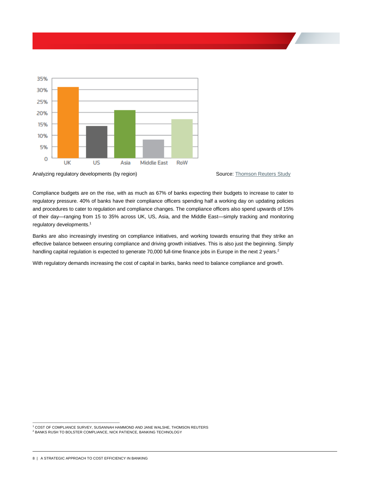

Analyzing regulatory developments (by region) Source[: Thomson Reuters Study](http://www.ethic-intelligence.com/wp-content/uploads/2013_the_cost_of_compliance_survey.pdf)



Compliance budgets are on the rise, with as much as 67% of banks expecting their budgets to increase to cater to regulatory pressure. 40% of banks have their compliance officers spending half a working day on updating policies and procedures to cater to regulation and compliance changes. The compliance officers also spend upwards of 15% of their day—ranging from 15 to 35% across UK, US, Asia, and the Middle East—simply tracking and monitoring regulatory developments.<sup>1</sup>

Banks are also increasingly investing on compliance initiatives, and working towards ensuring that they strike an effective balance between ensuring compliance and driving growth initiatives. This is also just the beginning. Simply handling capital regulation is expected to generate 70,000 full-time finance jobs in Europe in the next 2 years.<sup>2</sup>

With regulatory demands increasing the cost of capital in banks, banks need to balance compliance and growth.

 <sup>1</sup> COST OF COMPLIANCE SURVEY, SUSANNAH HAMMOND AND JANE WALSHE, THOMSON REUTERS

<sup>2</sup> BANKS RUSH TO BOLSTER COMPLIANCE, NICK PATIENCE, BANKING TECHNOLOGY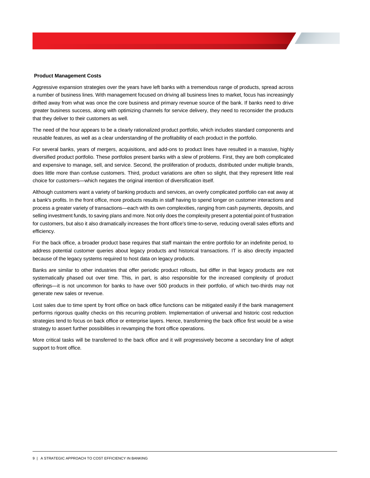#### **Product Management Costs**

Aggressive expansion strategies over the years have left banks with a tremendous range of products, spread across a number of business lines. With management focused on driving all business lines to market, focus has increasingly drifted away from what was once the core business and primary revenue source of the bank. If banks need to drive greater business success, along with optimizing channels for service delivery, they need to reconsider the products that they deliver to their customers as well.

The need of the hour appears to be a clearly rationalized product portfolio, which includes standard components and reusable features, as well as a clear understanding of the profitability of each product in the portfolio.

For several banks, years of mergers, acquisitions, and add-ons to product lines have resulted in a massive, highly diversified product portfolio. These portfolios present banks with a slew of problems. First, they are both complicated and expensive to manage, sell, and service. Second, the proliferation of products, distributed under multiple brands, does little more than confuse customers. Third, product variations are often so slight, that they represent little real choice for customers—which negates the original intention of diversification itself.

Although customers want a variety of banking products and services, an overly complicated portfolio can eat away at a bank's profits. In the front office, more products results in staff having to spend longer on customer interactions and process a greater variety of transactions—each with its own complexities, ranging from cash payments, deposits, and selling investment funds, to saving plans and more. Not only does the complexity present a potential point of frustration for customers, but also it also dramatically increases the front office's time-to-serve, reducing overall sales efforts and efficiency.

For the back office, a broader product base requires that staff maintain the entire portfolio for an indefinite period, to address potential customer queries about legacy products and historical transactions. IT is also directly impacted because of the legacy systems required to host data on legacy products.

Banks are similar to other industries that offer periodic product rollouts, but differ in that legacy products are not systematically phased out over time. This, in part, is also responsible for the increased complexity of product offerings—it is not uncommon for banks to have over 500 products in their portfolio, of which two-thirds may not generate new sales or revenue.

Lost sales due to time spent by front office on back office functions can be mitigated easily if the bank management performs rigorous quality checks on this recurring problem. Implementation of universal and historic cost reduction strategies tend to focus on back office or enterprise layers. Hence, transforming the back office first would be a wise strategy to assert further possibilities in revamping the front office operations.

More critical tasks will be transferred to the back office and it will progressively become a secondary line of adept support to front office.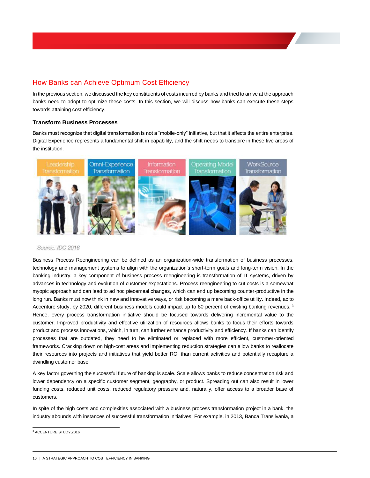### <span id="page-11-0"></span>How Banks can Achieve Optimum Cost Efficiency

In the previous section, we discussed the key constituents of costs incurred by banks and tried to arrive at the approach banks need to adopt to optimize these costs. In this section, we will discuss how banks can execute these steps towards attaining cost efficiency.

### <span id="page-11-1"></span>**Transform Business Processes**

Banks must recognize that digital transformation is not a "mobile-only" initiative, but that it affects the entire enterprise. Digital Experience represents a fundamental shift in capability, and the shift needs to transpire in these five areas of the institution.



### Source: IDC 2016

Business Process Reengineering can be defined as an organization-wide transformation of business processes, technology and management systems to align with the organization's short-term goals and long-term vision. In the banking industry, a key component of business process reengineering is transformation of IT systems, driven by advances in technology and evolution of customer expectations. Process reengineering to cut costs is a somewhat myopic approach and can lead to ad hoc piecemeal changes, which can end up becoming counter-productive in the long run. Banks must now think in new and innovative ways, or risk becoming a mere back-office utility. Indeed, ac to Accenture study, by 2020, different business models could impact up to 80 percent of existing banking revenues.<sup>3</sup> Hence, every process transformation initiative should be focused towards delivering incremental value to the customer. Improved productivity and effective utilization of resources allows banks to focus their efforts towards product and process innovations, which, in turn, can further enhance productivity and efficiency. If banks can identify processes that are outdated, they need to be eliminated or replaced with more efficient, customer-oriented frameworks. Cracking down on high-cost areas and implementing reduction strategies can allow banks to reallocate their resources into projects and initiatives that yield better ROI than current activities and potentially recapture a dwindling customer base.

A key factor governing the successful future of banking is scale. Scale allows banks to reduce concentration risk and lower dependency on a specific customer segment, geography, or product. Spreading out can also result in lower funding costs, reduced unit costs, reduced regulatory pressure and, naturally, offer access to a broader base of customers.

In spite of the high costs and complexities associated with a business process transformation project in a bank, the industry abounds with instances of successful transformation initiatives. For example, in 2013, Banca Transilvania, a

<sup>&</sup>lt;sup>3</sup> ACCENTURE STUDY,2016

<sup>10 |</sup> A STRATEGIC APPROACH TO COST EFFICIENCY IN BANKING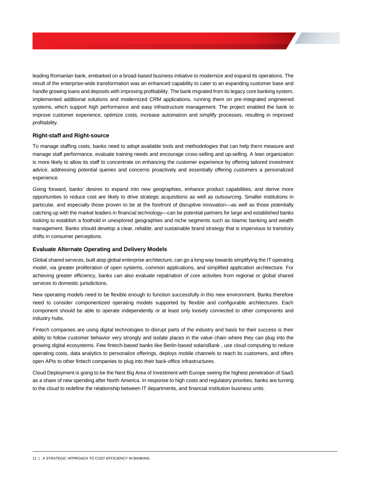leading Romanian bank, embarked on a broad-based business initiative to modernize and expand its operations. The result of the enterprise-wide transformation was an enhanced capability to cater to an expanding customer base and handle growing loans and deposits with improving profitability. The bank migrated from its legacy core banking system, implemented additional solutions and modernized CRM applications, running them on pre-integrated engineered systems, which support high performance and easy infrastructure management. The project enabled the bank to improve customer experience, optimize costs, increase automation and simplify processes, resulting in improved profitability.

#### <span id="page-12-0"></span>**Right-staff and Right-source**

To manage staffing costs, banks need to adopt available tools and methodologies that can help them measure and manage staff performance, evaluate training needs and encourage cross-selling and up-selling. A lean organization is more likely to allow its staff to concentrate on enhancing the customer experience by offering tailored investment advice, addressing potential queries and concerns proactively and essentially offering customers a personalized experience.

Going forward, banks' desires to expand into new geographies, enhance product capabilities, and derive more opportunities to reduce cost are likely to drive strategic acquisitions as well as outsourcing. Smaller institutions in particular, and especially those proven to be at the forefront of disruptive innovation—as well as those potentially catching up with the market leaders in financial technology—can be potential partners for large and established banks looking to establish a foothold in unexplored geographies and niche segments such as Islamic banking and wealth management. Banks should develop a clear, reliable, and sustainable brand strategy that is impervious to transitory shifts in consumer perceptions.

### <span id="page-12-1"></span>**Evaluate Alternate Operating and Delivery Models**

Global shared services, built atop global enterprise architecture, can go a long way towards simplifying the IT operating model, via greater proliferation of open systems, common applications, and simplified application architecture. For achieving greater efficiency, banks can also evaluate repatriation of core activities from regional or global shared services to domestic jurisdictions.

New operating models need to be flexible enough to function successfully in this new environment. Banks therefore need to consider componentized operating models supported by flexible and configurable architectures. Each component should be able to operate independently or at least only loosely connected to other components and industry hubs.

Fintech companies are using digital technologies to disrupt parts of the industry and basis for their success is their ability to follow customer behavior very strongly and isolate places in the value chain where they can plug into the growing digital ecosystems. Few fintech-based banks like Berlin-based solarisBank , use cloud computing to reduce operating costs, data analytics to personalize offerings, deploys mobile channels to reach its customers, and offers open APIs to other fintech companies to plug into their back-office infrastructures.

Cloud Deployment is going to be the Next Big Area of Investment with Europe seeing the highest penetration of SaaS as a share of new spending after North America. In response to high costs and regulatory priorities, banks are turning to the cloud to redefine the relationship between IT departments, and financial institution business units.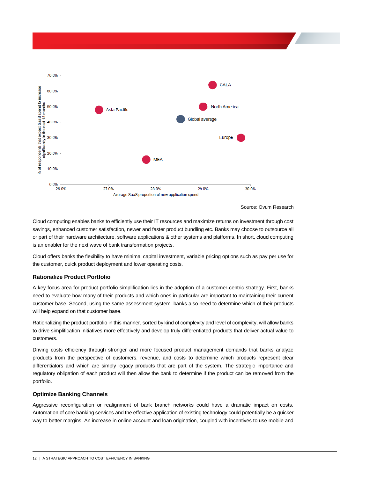

Source: Ovum Research

Cloud computing enables banks to efficiently use their IT resources and maximize returns on investment through cost savings, enhanced customer satisfaction, newer and faster product bundling etc. Banks may choose to outsource all or part of their hardware architecture, software applications & other systems and platforms. In short, cloud computing is an enabler for the next wave of bank transformation projects.

Cloud offers banks the flexibility to have minimal capital investment, variable pricing options such as pay per use for the customer, quick product deployment and lower operating costs.

### <span id="page-13-0"></span>**Rationalize Product Portfolio**

A key focus area for product portfolio simplification lies in the adoption of a customer-centric strategy. First, banks need to evaluate how many of their products and which ones in particular are important to maintaining their current customer base. Second, using the same assessment system, banks also need to determine which of their products will help expand on that customer base.

Rationalizing the product portfolio in this manner, sorted by kind of complexity and level of complexity, will allow banks to drive simplification initiatives more effectively and develop truly differentiated products that deliver actual value to customers.

Driving costs efficiency through stronger and more focused product management demands that banks analyze products from the perspective of customers, revenue, and costs to determine which products represent clear differentiators and which are simply legacy products that are part of the system. The strategic importance and regulatory obligation of each product will then allow the bank to determine if the product can be removed from the portfolio.

#### <span id="page-13-1"></span>**Optimize Banking Channels**

Aggressive reconfiguration or realignment of bank branch networks could have a dramatic impact on costs. Automation of core banking services and the effective application of existing technology could potentially be a quicker way to better margins. An increase in online account and loan origination, coupled with incentives to use mobile and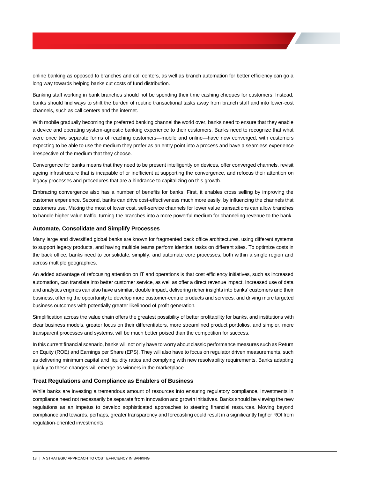online banking as opposed to branches and call centers, as well as branch automation for better efficiency can go a long way towards helping banks cut costs of fund distribution.

Banking staff working in bank branches should not be spending their time cashing cheques for customers. Instead, banks should find ways to shift the burden of routine transactional tasks away from branch staff and into lower-cost channels, such as call centers and the internet.

With mobile gradually becoming the preferred banking channel the world over, banks need to ensure that they enable a device and operating system-agnostic banking experience to their customers. Banks need to recognize that what were once two separate forms of reaching customers—mobile and online—have now converged, with customers expecting to be able to use the medium they prefer as an entry point into a process and have a seamless experience irrespective of the medium that they choose.

Convergence for banks means that they need to be present intelligently on devices, offer converged channels, revisit ageing infrastructure that is incapable of or inefficient at supporting the convergence, and refocus their attention on legacy processes and procedures that are a hindrance to capitalizing on this growth.

Embracing convergence also has a number of benefits for banks. First, it enables cross selling by improving the customer experience. Second, banks can drive cost-effectiveness much more easily, by influencing the channels that customers use. Making the most of lower cost, self-service channels for lower value transactions can allow branches to handle higher value traffic, turning the branches into a more powerful medium for channeling revenue to the bank.

#### <span id="page-14-0"></span>**Automate, Consolidate and Simplify Processes**

Many large and diversified global banks are known for fragmented back office architectures, using different systems to support legacy products, and having multiple teams perform identical tasks on different sites. To optimize costs in the back office, banks need to consolidate, simplify, and automate core processes, both within a single region and across multiple geographies.

An added advantage of refocusing attention on IT and operations is that cost efficiency initiatives, such as increased automation, can translate into better customer service, as well as offer a direct revenue impact. Increased use of data and analytics engines can also have a similar, double impact, delivering richer insights into banks' customers and their business, offering the opportunity to develop more customer-centric products and services, and driving more targeted business outcomes with potentially greater likelihood of profit generation.

Simplification across the value chain offers the greatest possibility of better profitability for banks, and institutions with clear business models, greater focus on their differentiators, more streamlined product portfolios, and simpler, more transparent processes and systems, will be much better poised than the competition for success.

In this current financial scenario, banks will not only have to worry about classic performance measures such as Return on Equity (ROE) and Earnings per Share (EPS). They will also have to focus on regulator driven measurements, such as delivering minimum capital and liquidity ratios and complying with new resolvability requirements. Banks adapting quickly to these changes will emerge as winners in the marketplace.

#### <span id="page-14-1"></span>**Treat Regulations and Compliance as Enablers of Business**

While banks are investing a tremendous amount of resources into ensuring regulatory compliance, investments in compliance need not necessarily be separate from innovation and growth initiatives. Banks should be viewing the new regulations as an impetus to develop sophisticated approaches to steering financial resources. Moving beyond compliance and towards, perhaps, greater transparency and forecasting could result in a significantly higher ROI from regulation-oriented investments.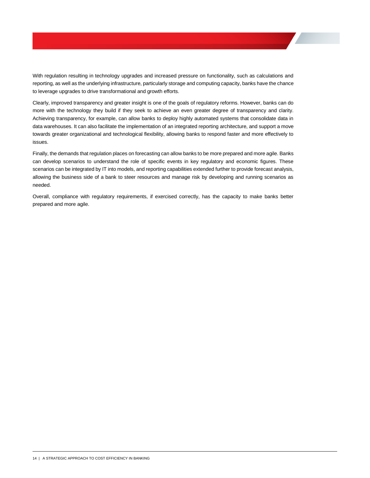With regulation resulting in technology upgrades and increased pressure on functionality, such as calculations and reporting, as well as the underlying infrastructure, particularly storage and computing capacity, banks have the chance to leverage upgrades to drive transformational and growth efforts.

Clearly, improved transparency and greater insight is one of the goals of regulatory reforms. However, banks can do more with the technology they build if they seek to achieve an even greater degree of transparency and clarity. Achieving transparency, for example, can allow banks to deploy highly automated systems that consolidate data in data warehouses. It can also facilitate the implementation of an integrated reporting architecture, and support a move towards greater organizational and technological flexibility, allowing banks to respond faster and more effectively to issues.

Finally, the demands that regulation places on forecasting can allow banks to be more prepared and more agile. Banks can develop scenarios to understand the role of specific events in key regulatory and economic figures. These scenarios can be integrated by IT into models, and reporting capabilities extended further to provide forecast analysis, allowing the business side of a bank to steer resources and manage risk by developing and running scenarios as needed.

Overall, compliance with regulatory requirements, if exercised correctly, has the capacity to make banks better prepared and more agile.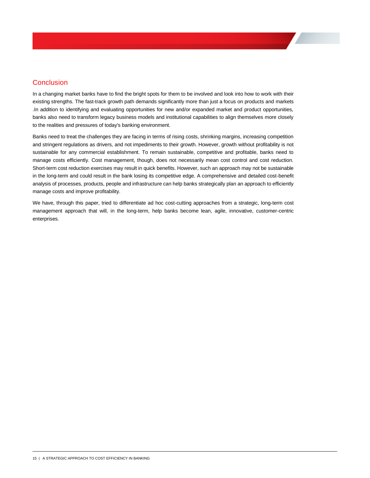### <span id="page-16-0"></span>**Conclusion**

In a changing market banks have to find the bright spots for them to be involved and look into how to work with their existing strengths. The fast-track growth path demands significantly more than just a focus on products and markets .In addition to identifying and evaluating opportunities for new and/or expanded market and product opportunities, banks also need to transform legacy business models and institutional capabilities to align themselves more closely to the realities and pressures of today's banking environment.

Banks need to treat the challenges they are facing in terms of rising costs, shrinking margins, increasing competition and stringent regulations as drivers, and not impediments to their growth. However, growth without profitability is not sustainable for any commercial establishment. To remain sustainable, competitive and profitable, banks need to manage costs efficiently. Cost management, though, does not necessarily mean cost control and cost reduction. Short-term cost reduction exercises may result in quick benefits. However, such an approach may not be sustainable in the long-term and could result in the bank losing its competitive edge. A comprehensive and detailed cost-benefit analysis of processes, products, people and infrastructure can help banks strategically plan an approach to efficiently manage costs and improve profitability.

We have, through this paper, tried to differentiate ad hoc cost-cutting approaches from a strategic, long-term cost management approach that will, in the long-term, help banks become lean, agile, innovative, customer-centric enterprises.